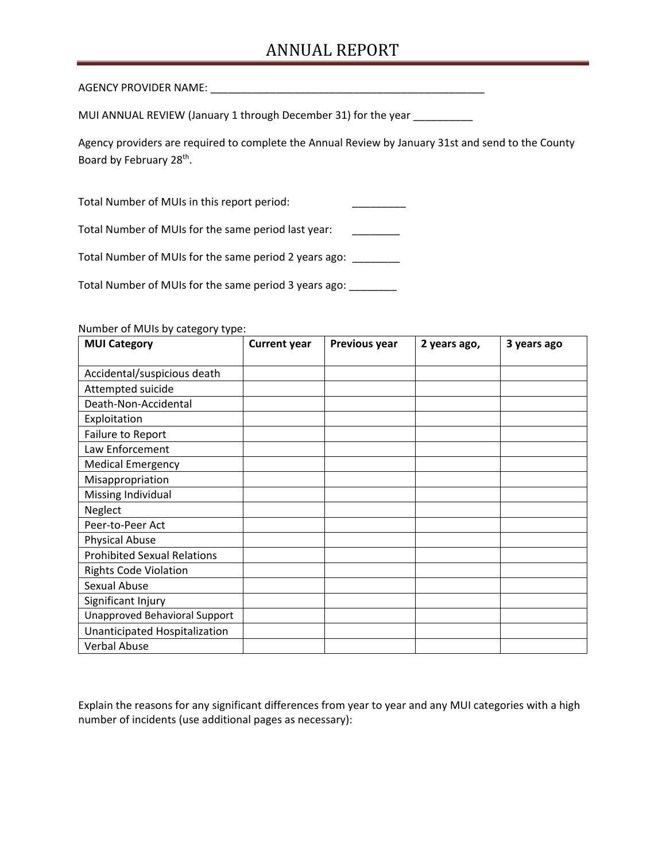## ANNUAL REPORT

AGENCY PROVIDER NAME: \_\_\_\_\_\_\_\_\_\_\_\_\_\_\_\_\_\_\_\_\_\_\_\_\_\_\_\_\_\_\_\_\_\_\_\_\_\_\_\_\_\_\_\_\_\_

MUI ANNUAL REVIEW (January 1 through December 31) for the year **wear** 

Agency providers are required to complete the Annual Review by January 31st and send to the County Board by February 28th.

Total Number of MUIs in this report period:

Total Number of MUIs for the same period last year: \_\_\_\_\_\_\_\_

Total Number of MUIs for the same period 2 years ago: \_\_\_\_\_\_\_\_

Total Number of MUIs for the same period 3 years ago: \_\_\_\_\_\_\_\_

Number of MUIs by category type:

| <b>MUI Category</b>                | <b>Current year</b> | Previous year | 2 years ago, | 3 years ago |
|------------------------------------|---------------------|---------------|--------------|-------------|
|                                    |                     |               |              |             |
| Accidental/suspicious death        |                     |               |              |             |
| Attempted suicide                  |                     |               |              |             |
| Death-Non-Accidental               |                     |               |              |             |
| Exploitation                       |                     |               |              |             |
| Failure to Report                  |                     |               |              |             |
| Law Enforcement                    |                     |               |              |             |
| <b>Medical Emergency</b>           |                     |               |              |             |
| Misappropriation                   |                     |               |              |             |
| Missing Individual                 |                     |               |              |             |
| Neglect                            |                     |               |              |             |
| Peer-to-Peer Act                   |                     |               |              |             |
| <b>Physical Abuse</b>              |                     |               |              |             |
| <b>Prohibited Sexual Relations</b> |                     |               |              |             |
| <b>Rights Code Violation</b>       |                     |               |              |             |
| Sexual Abuse                       |                     |               |              |             |
| Significant Injury                 |                     |               |              |             |
| Unapproved Behavioral Support      |                     |               |              |             |
| Unanticipated Hospitalization      |                     |               |              |             |
| <b>Verbal Abuse</b>                |                     |               |              |             |

 Explain the reasons for any significant differences from year to year and any MUI categories with a high number of incidents (use additional pages as necessary):